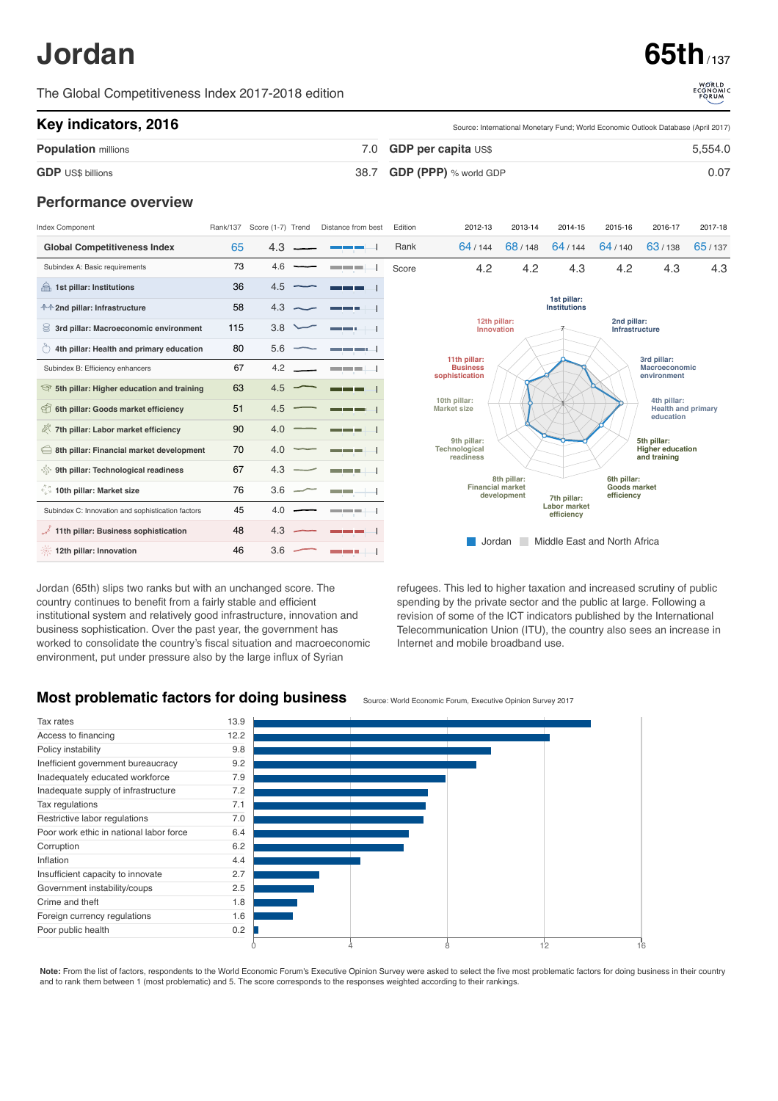# **Jordan 65th** / 137

The Global Competitiveness Index 2017-2018 edition

Source: International Monetary Fund; World Economic Outlook Database (April 2017)

#### **Key indicators, 2016**

| <b>Population millions</b> | 7.0 GDP per capita US\$<br>5.554.0 |  |  |  |
|----------------------------|------------------------------------|--|--|--|
| <b>GDP</b> US\$ billions   | 38.7 GDP (PPP) % world GDP<br>0.07 |  |  |  |

### **Performance overview**

| Index Component                                                   | Rank/137 | Score (1-7) Trend | Distance from best                | Edition | 2012-13                                                                             | 2013-14                                                     | 2014-15 | 2015-16                                            | 2016-17                                 | 2017-18 |  |  |
|-------------------------------------------------------------------|----------|-------------------|-----------------------------------|---------|-------------------------------------------------------------------------------------|-------------------------------------------------------------|---------|----------------------------------------------------|-----------------------------------------|---------|--|--|
| <b>Global Competitiveness Index</b>                               | 65       | 4.3               |                                   | Rank    | 64/144                                                                              | 68/148                                                      | 64/144  | 64/140                                             | 63/138                                  | 65/137  |  |  |
| Subindex A: Basic requirements                                    | 73       | 4.6               | and the state of the              | Score   | 4.2                                                                                 | 4.2                                                         | 4.3     | 4.2                                                | 4.3                                     | 4.3     |  |  |
| 1st pillar: Institutions                                          | 36       | 4.5               |                                   |         |                                                                                     |                                                             |         |                                                    |                                         |         |  |  |
| <b>↑↑2nd pillar: Infrastructure</b>                               | 58       | 4.3               | a m                               |         |                                                                                     | 1st pillar:<br><b>Institutions</b>                          |         |                                                    |                                         |         |  |  |
| 3rd pillar: Macroeconomic environment                             | 115      | 3.8               |                                   |         |                                                                                     | 12th pillar:<br>2nd pillar:<br>Innovation<br>Infrastructure |         |                                                    |                                         |         |  |  |
| $\stackrel{\sim}{\circ}$ 4th pillar: Health and primary education | 80       | 5.6               | <u>e a serie de la c</u>          |         |                                                                                     |                                                             |         |                                                    |                                         |         |  |  |
| Subindex B: Efficiency enhancers                                  | 67       | 4.2               | <b>Contract Contract Contract</b> |         | 11th pillar:<br><b>Business</b><br>sophistication                                   |                                                             |         | 3rd pillar:<br><b>Macroeconomic</b><br>environment |                                         |         |  |  |
| Sth pillar: Higher education and training                         | 63       | 4.5               |                                   |         |                                                                                     |                                                             |         |                                                    |                                         |         |  |  |
| 6th pillar: Goods market efficiency                               | 51       | 4.5               | ___                               |         | 10th pillar:<br><b>Market size</b>                                                  | 4th pillar:<br><b>Health and primary</b><br>education       |         |                                                    |                                         |         |  |  |
| 7th pillar: Labor market efficiency                               | 90       | 4.0               | ---                               |         |                                                                                     |                                                             |         |                                                    |                                         |         |  |  |
| $\bigoplus$ 8th pillar: Financial market development              | 70       | 4.0               | ---                               |         | 9th pillar:<br>5th pillar:<br>Technological<br>readiness                            |                                                             |         |                                                    | <b>Higher education</b><br>and training |         |  |  |
| <b>Solution</b> 9th pillar: Technological readiness               | 67       | 4.3               | and the state of the              |         | 6th pillar:<br>8th pillar:                                                          |                                                             |         |                                                    |                                         |         |  |  |
| $\lesssim$ 10th pillar: Market size                               | 76       | 3.6               | martin 19                         |         | <b>Financial market</b><br>Goods market<br>development<br>efficiency<br>7th pillar: |                                                             |         |                                                    |                                         |         |  |  |
| Subindex C: Innovation and sophistication factors                 | 45       | 4.0               | ----                              |         | <b>Labor market</b><br>efficiency                                                   |                                                             |         |                                                    |                                         |         |  |  |
| 11th pillar: Business sophistication                              | 48       | 4.3               |                                   |         |                                                                                     |                                                             |         |                                                    |                                         |         |  |  |
| 12th pillar: Innovation                                           | 46       | 3.6               |                                   |         | Middle East and North Africa<br>Jordan                                              |                                                             |         |                                                    |                                         |         |  |  |

Jordan (65th) slips two ranks but with an unchanged score. The country continues to benefit from a fairly stable and efficient institutional system and relatively good infrastructure, innovation and business sophistication. Over the past year, the government has worked to consolidate the country's fiscal situation and macroeconomic environment, put under pressure also by the large influx of Syrian



## **Most problematic factors for doing business**



Note: From the list of factors, respondents to the World Economic Forum's Executive Opinion Survey were asked to select the five most problematic factors for doing business in their country and to rank them between 1 (most problematic) and 5. The score corresponds to the responses weighted according to their rankings.